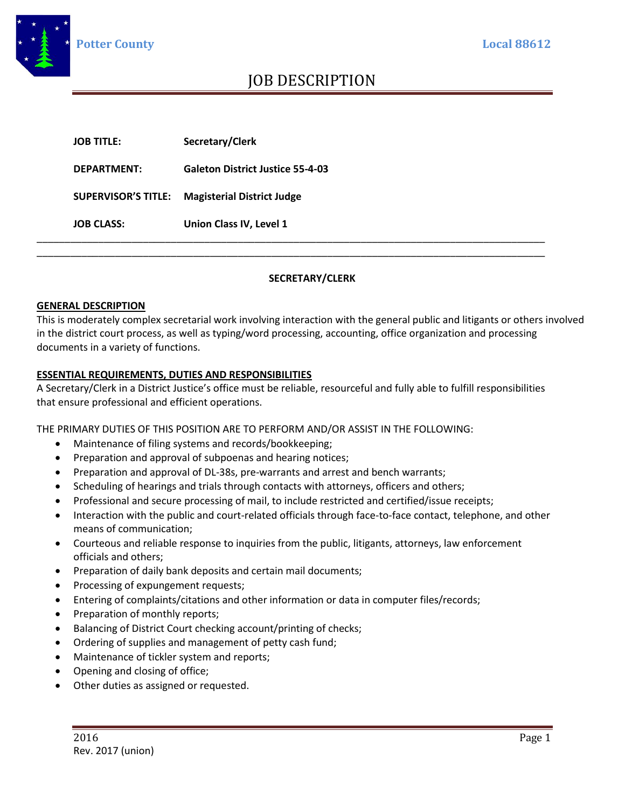

## JOB DESCRIPTION

| <b>JOB CLASS:</b> | Union Class IV, Level 1                        |
|-------------------|------------------------------------------------|
|                   | SUPERVISOR'S TITLE: Magisterial District Judge |
| DEPARTMENT:       | <b>Galeton District Justice 55-4-03</b>        |
| <b>JOB TITLE:</b> | Secretary/Clerk                                |

### **SECRETARY/CLERK**

#### **GENERAL DESCRIPTION**

This is moderately complex secretarial work involving interaction with the general public and litigants or others involved in the district court process, as well as typing/word processing, accounting, office organization and processing documents in a variety of functions.

#### **ESSENTIAL REQUIREMENTS, DUTIES AND RESPONSIBILITIES**

A Secretary/Clerk in a District Justice's office must be reliable, resourceful and fully able to fulfill responsibilities that ensure professional and efficient operations.

THE PRIMARY DUTIES OF THIS POSITION ARE TO PERFORM AND/OR ASSIST IN THE FOLLOWING:

- Maintenance of filing systems and records/bookkeeping;
- Preparation and approval of subpoenas and hearing notices;
- Preparation and approval of DL-38s, pre-warrants and arrest and bench warrants;
- Scheduling of hearings and trials through contacts with attorneys, officers and others;
- Professional and secure processing of mail, to include restricted and certified/issue receipts;
- Interaction with the public and court-related officials through face-to-face contact, telephone, and other means of communication;
- Courteous and reliable response to inquiries from the public, litigants, attorneys, law enforcement officials and others;
- Preparation of daily bank deposits and certain mail documents;
- Processing of expungement requests;
- Entering of complaints/citations and other information or data in computer files/records;
- Preparation of monthly reports;
- Balancing of District Court checking account/printing of checks;
- Ordering of supplies and management of petty cash fund;
- Maintenance of tickler system and reports;
- Opening and closing of office;
- Other duties as assigned or requested.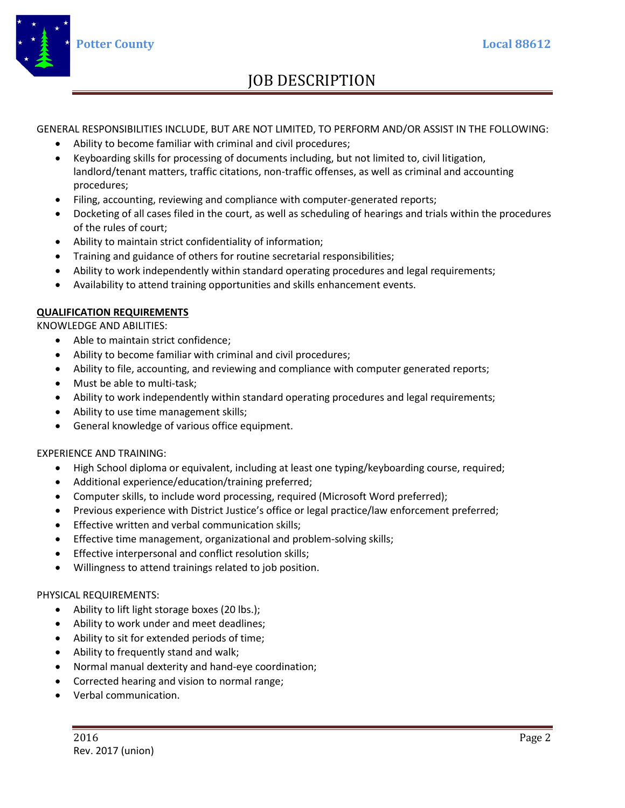

# JOB DESCRIPTION

GENERAL RESPONSIBILITIES INCLUDE, BUT ARE NOT LIMITED, TO PERFORM AND/OR ASSIST IN THE FOLLOWING:

- Ability to become familiar with criminal and civil procedures;
- Keyboarding skills for processing of documents including, but not limited to, civil litigation, landlord/tenant matters, traffic citations, non-traffic offenses, as well as criminal and accounting procedures;
- Filing, accounting, reviewing and compliance with computer-generated reports;
- Docketing of all cases filed in the court, as well as scheduling of hearings and trials within the procedures of the rules of court;
- Ability to maintain strict confidentiality of information;
- Training and guidance of others for routine secretarial responsibilities;
- Ability to work independently within standard operating procedures and legal requirements;
- Availability to attend training opportunities and skills enhancement events.

### **QUALIFICATION REQUIREMENTS**

KNOWLEDGE AND ABILITIES:

- Able to maintain strict confidence;
- Ability to become familiar with criminal and civil procedures;
- Ability to file, accounting, and reviewing and compliance with computer generated reports;
- Must be able to multi-task;
- Ability to work independently within standard operating procedures and legal requirements;
- Ability to use time management skills;
- General knowledge of various office equipment.

### EXPERIENCE AND TRAINING:

- High School diploma or equivalent, including at least one typing/keyboarding course, required;
- Additional experience/education/training preferred;
- Computer skills, to include word processing, required (Microsoft Word preferred);
- Previous experience with District Justice's office or legal practice/law enforcement preferred;
- Effective written and verbal communication skills;
- Effective time management, organizational and problem-solving skills;
- Effective interpersonal and conflict resolution skills;
- Willingness to attend trainings related to job position.

### PHYSICAL REQUIREMENTS:

- Ability to lift light storage boxes (20 lbs.);
- Ability to work under and meet deadlines;
- Ability to sit for extended periods of time;
- Ability to frequently stand and walk;
- Normal manual dexterity and hand-eye coordination;
- Corrected hearing and vision to normal range;
- Verbal communication.